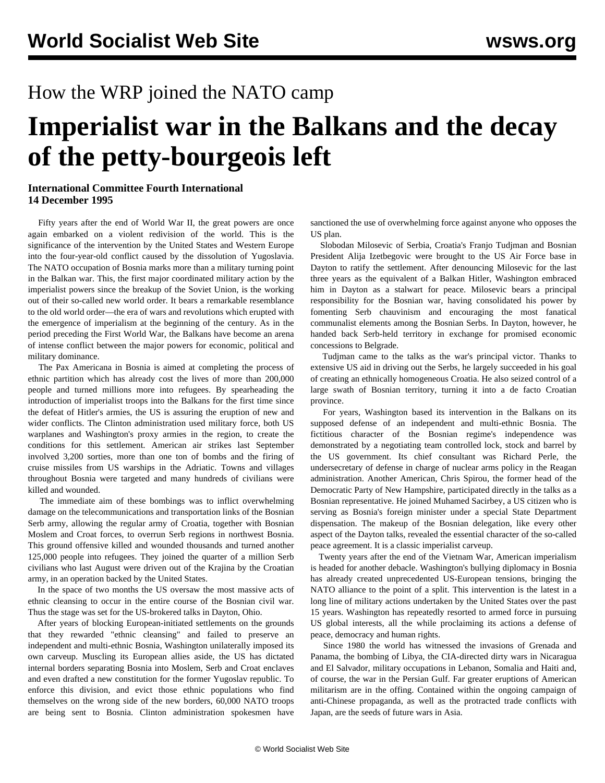## How the WRP joined the NATO camp

# **Imperialist war in the Balkans and the decay of the petty-bourgeois left**

### **International Committee Fourth International 14 December 1995**

 Fifty years after the end of World War II, the great powers are once again embarked on a violent redivision of the world. This is the significance of the intervention by the United States and Western Europe into the four-year-old conflict caused by the dissolution of Yugoslavia. The NATO occupation of Bosnia marks more than a military turning point in the Balkan war. This, the first major coordinated military action by the imperialist powers since the breakup of the Soviet Union, is the working out of their so-called new world order. It bears a remarkable resemblance to the old world order—the era of wars and revolutions which erupted with the emergence of imperialism at the beginning of the century. As in the period preceding the First World War, the Balkans have become an arena of intense conflict between the major powers for economic, political and military dominance.

 The Pax Americana in Bosnia is aimed at completing the process of ethnic partition which has already cost the lives of more than 200,000 people and turned millions more into refugees. By spearheading the introduction of imperialist troops into the Balkans for the first time since the defeat of Hitler's armies, the US is assuring the eruption of new and wider conflicts. The Clinton administration used military force, both US warplanes and Washington's proxy armies in the region, to create the conditions for this settlement. American air strikes last September involved 3,200 sorties, more than one ton of bombs and the firing of cruise missiles from US warships in the Adriatic. Towns and villages throughout Bosnia were targeted and many hundreds of civilians were killed and wounded.

 The immediate aim of these bombings was to inflict overwhelming damage on the telecommunications and transportation links of the Bosnian Serb army, allowing the regular army of Croatia, together with Bosnian Moslem and Croat forces, to overrun Serb regions in northwest Bosnia. This ground offensive killed and wounded thousands and turned another 125,000 people into refugees. They joined the quarter of a million Serb civilians who last August were driven out of the Krajina by the Croatian army, in an operation backed by the United States.

 In the space of two months the US oversaw the most massive acts of ethnic cleansing to occur in the entire course of the Bosnian civil war. Thus the stage was set for the US-brokered talks in Dayton, Ohio.

 After years of blocking European-initiated settlements on the grounds that they rewarded "ethnic cleansing" and failed to preserve an independent and multi-ethnic Bosnia, Washington unilaterally imposed its own carveup. Muscling its European allies aside, the US has dictated internal borders separating Bosnia into Moslem, Serb and Croat enclaves and even drafted a new constitution for the former Yugoslav republic. To enforce this division, and evict those ethnic populations who find themselves on the wrong side of the new borders, 60,000 NATO troops are being sent to Bosnia. Clinton administration spokesmen have sanctioned the use of overwhelming force against anyone who opposes the US plan.

 Slobodan Milosevic of Serbia, Croatia's Franjo Tudjman and Bosnian President Alija Izetbegovic were brought to the US Air Force base in Dayton to ratify the settlement. After denouncing Milosevic for the last three years as the equivalent of a Balkan Hitler, Washington embraced him in Dayton as a stalwart for peace. Milosevic bears a principal responsibility for the Bosnian war, having consolidated his power by fomenting Serb chauvinism and encouraging the most fanatical communalist elements among the Bosnian Serbs. In Dayton, however, he handed back Serb-held territory in exchange for promised economic concessions to Belgrade.

 Tudjman came to the talks as the war's principal victor. Thanks to extensive US aid in driving out the Serbs, he largely succeeded in his goal of creating an ethnically homogeneous Croatia. He also seized control of a large swath of Bosnian territory, turning it into a de facto Croatian province.

 For years, Washington based its intervention in the Balkans on its supposed defense of an independent and multi-ethnic Bosnia. The fictitious character of the Bosnian regime's independence was demonstrated by a negotiating team controlled lock, stock and barrel by the US government. Its chief consultant was Richard Perle, the undersecretary of defense in charge of nuclear arms policy in the Reagan administration. Another American, Chris Spirou, the former head of the Democratic Party of New Hampshire, participated directly in the talks as a Bosnian representative. He joined Muhamed Sacirbey, a US citizen who is serving as Bosnia's foreign minister under a special State Department dispensation. The makeup of the Bosnian delegation, like every other aspect of the Dayton talks, revealed the essential character of the so-called peace agreement. It is a classic imperialist carveup.

 Twenty years after the end of the Vietnam War, American imperialism is headed for another debacle. Washington's bullying diplomacy in Bosnia has already created unprecedented US-European tensions, bringing the NATO alliance to the point of a split. This intervention is the latest in a long line of military actions undertaken by the United States over the past 15 years. Washington has repeatedly resorted to armed force in pursuing US global interests, all the while proclaiming its actions a defense of peace, democracy and human rights.

 Since 1980 the world has witnessed the invasions of Grenada and Panama, the bombing of Libya, the CIA-directed dirty wars in Nicaragua and El Salvador, military occupations in Lebanon, Somalia and Haiti and, of course, the war in the Persian Gulf. Far greater eruptions of American militarism are in the offing. Contained within the ongoing campaign of anti-Chinese propaganda, as well as the protracted trade conflicts with Japan, are the seeds of future wars in Asia.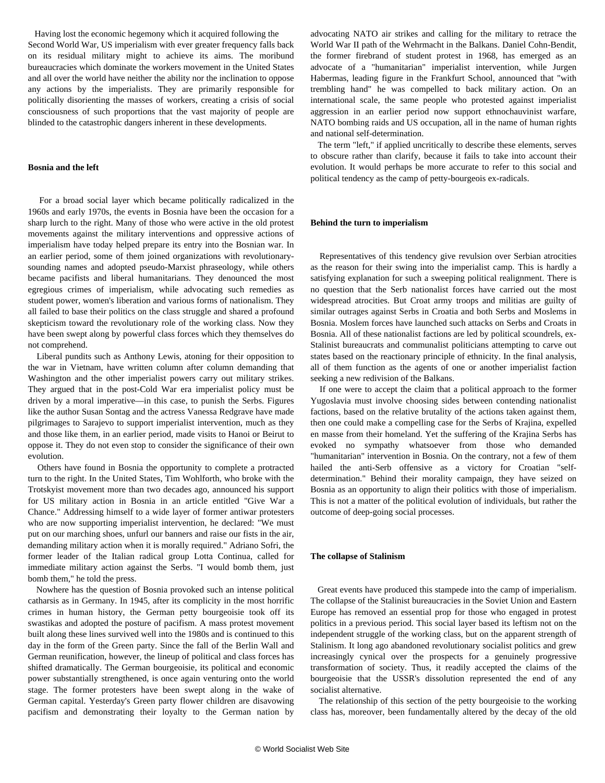Having lost the economic hegemony which it acquired following the Second World War, US imperialism with ever greater frequency falls back on its residual military might to achieve its aims. The moribund bureaucracies which dominate the workers movement in the United States and all over the world have neither the ability nor the inclination to oppose any actions by the imperialists. They are primarily responsible for politically disorienting the masses of workers, creating a crisis of social consciousness of such proportions that the vast majority of people are blinded to the catastrophic dangers inherent in these developments.

#### **Bosnia and the left**

 For a broad social layer which became politically radicalized in the 1960s and early 1970s, the events in Bosnia have been the occasion for a sharp lurch to the right. Many of those who were active in the old protest movements against the military interventions and oppressive actions of imperialism have today helped prepare its entry into the Bosnian war. In an earlier period, some of them joined organizations with revolutionarysounding names and adopted pseudo-Marxist phraseology, while others became pacifists and liberal humanitarians. They denounced the most egregious crimes of imperialism, while advocating such remedies as student power, women's liberation and various forms of nationalism. They all failed to base their politics on the class struggle and shared a profound skepticism toward the revolutionary role of the working class. Now they have been swept along by powerful class forces which they themselves do not comprehend.

 Liberal pundits such as Anthony Lewis, atoning for their opposition to the war in Vietnam, have written column after column demanding that Washington and the other imperialist powers carry out military strikes. They argued that in the post-Cold War era imperialist policy must be driven by a moral imperative—in this case, to punish the Serbs. Figures like the author Susan Sontag and the actress Vanessa Redgrave have made pilgrimages to Sarajevo to support imperialist intervention, much as they and those like them, in an earlier period, made visits to Hanoi or Beirut to oppose it. They do not even stop to consider the significance of their own evolution.

 Others have found in Bosnia the opportunity to complete a protracted turn to the right. In the United States, Tim Wohlforth, who broke with the Trotskyist movement more than two decades ago, announced his support for US military action in Bosnia in an article entitled "Give War a Chance." Addressing himself to a wide layer of former antiwar protesters who are now supporting imperialist intervention, he declared: "We must put on our marching shoes, unfurl our banners and raise our fists in the air, demanding military action when it is morally required." Adriano Sofri, the former leader of the Italian radical group Lotta Continua, called for immediate military action against the Serbs. "I would bomb them, just bomb them," he told the press.

 Nowhere has the question of Bosnia provoked such an intense political catharsis as in Germany. In 1945, after its complicity in the most horrific crimes in human history, the German petty bourgeoisie took off its swastikas and adopted the posture of pacifism. A mass protest movement built along these lines survived well into the 1980s and is continued to this day in the form of the Green party. Since the fall of the Berlin Wall and German reunification, however, the lineup of political and class forces has shifted dramatically. The German bourgeoisie, its political and economic power substantially strengthened, is once again venturing onto the world stage. The former protesters have been swept along in the wake of German capital. Yesterday's Green party flower children are disavowing pacifism and demonstrating their loyalty to the German nation by

advocating NATO air strikes and calling for the military to retrace the World War II path of the Wehrmacht in the Balkans. Daniel Cohn-Bendit, the former firebrand of student protest in 1968, has emerged as an advocate of a "humanitarian" imperialist intervention, while Jurgen Habermas, leading figure in the Frankfurt School, announced that "with trembling hand" he was compelled to back military action. On an international scale, the same people who protested against imperialist aggression in an earlier period now support ethnochauvinist warfare, NATO bombing raids and US occupation, all in the name of human rights and national self-determination.

 The term "left," if applied uncritically to describe these elements, serves to obscure rather than clarify, because it fails to take into account their evolution. It would perhaps be more accurate to refer to this social and political tendency as the camp of petty-bourgeois ex-radicals.

#### **Behind the turn to imperialism**

 Representatives of this tendency give revulsion over Serbian atrocities as the reason for their swing into the imperialist camp. This is hardly a satisfying explanation for such a sweeping political realignment. There is no question that the Serb nationalist forces have carried out the most widespread atrocities. But Croat army troops and militias are guilty of similar outrages against Serbs in Croatia and both Serbs and Moslems in Bosnia. Moslem forces have launched such attacks on Serbs and Croats in Bosnia. All of these nationalist factions are led by political scoundrels, ex-Stalinist bureaucrats and communalist politicians attempting to carve out states based on the reactionary principle of ethnicity. In the final analysis, all of them function as the agents of one or another imperialist faction seeking a new redivision of the Balkans.

 If one were to accept the claim that a political approach to the former Yugoslavia must involve choosing sides between contending nationalist factions, based on the relative brutality of the actions taken against them, then one could make a compelling case for the Serbs of Krajina, expelled en masse from their homeland. Yet the suffering of the Krajina Serbs has evoked no sympathy whatsoever from those who demanded "humanitarian" intervention in Bosnia. On the contrary, not a few of them hailed the anti-Serb offensive as a victory for Croatian "selfdetermination." Behind their morality campaign, they have seized on Bosnia as an opportunity to align their politics with those of imperialism. This is not a matter of the political evolution of individuals, but rather the outcome of deep-going social processes.

#### **The collapse of Stalinism**

 Great events have produced this stampede into the camp of imperialism. The collapse of the Stalinist bureaucracies in the Soviet Union and Eastern Europe has removed an essential prop for those who engaged in protest politics in a previous period. This social layer based its leftism not on the independent struggle of the working class, but on the apparent strength of Stalinism. It long ago abandoned revolutionary socialist politics and grew increasingly cynical over the prospects for a genuinely progressive transformation of society. Thus, it readily accepted the claims of the bourgeoisie that the USSR's dissolution represented the end of any socialist alternative.

 The relationship of this section of the petty bourgeoisie to the working class has, moreover, been fundamentally altered by the decay of the old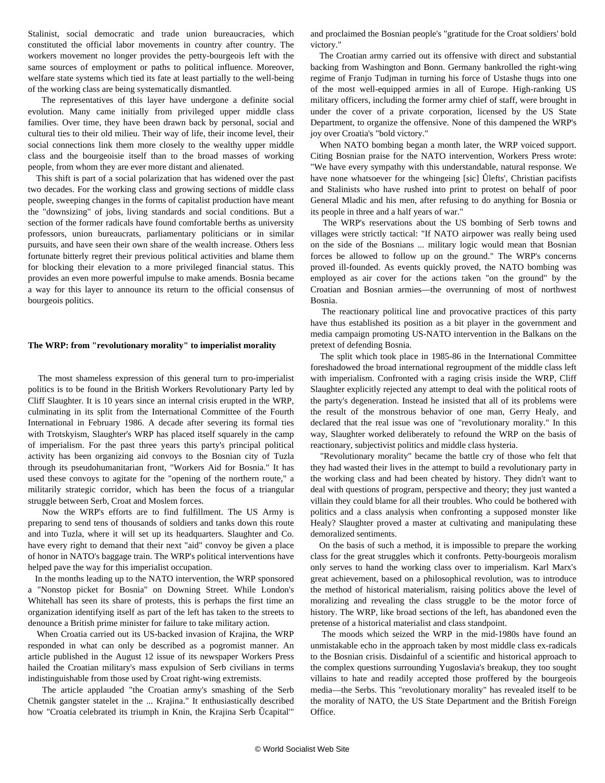Stalinist, social democratic and trade union bureaucracies, which constituted the official labor movements in country after country. The workers movement no longer provides the petty-bourgeois left with the same sources of employment or paths to political influence. Moreover, welfare state systems which tied its fate at least partially to the well-being of the working class are being systematically dismantled.

 The representatives of this layer have undergone a definite social evolution. Many came initially from privileged upper middle class families. Over time, they have been drawn back by personal, social and cultural ties to their old milieu. Their way of life, their income level, their social connections link them more closely to the wealthy upper middle class and the bourgeoisie itself than to the broad masses of working people, from whom they are ever more distant and alienated.

 This shift is part of a social polarization that has widened over the past two decades. For the working class and growing sections of middle class people, sweeping changes in the forms of capitalist production have meant the "downsizing" of jobs, living standards and social conditions. But a section of the former radicals have found comfortable berths as university professors, union bureaucrats, parliamentary politicians or in similar pursuits, and have seen their own share of the wealth increase. Others less fortunate bitterly regret their previous political activities and blame them for blocking their elevation to a more privileged financial status. This provides an even more powerful impulse to make amends. Bosnia became a way for this layer to announce its return to the official consensus of bourgeois politics.

#### **The WRP: from "revolutionary morality" to imperialist morality**

 The most shameless expression of this general turn to pro-imperialist politics is to be found in the British Workers Revolutionary Party led by Cliff Slaughter. It is 10 years since an internal crisis erupted in the WRP, culminating in its split from the International Committee of the Fourth International in February 1986. A decade after severing its formal ties with Trotskyism, Slaughter's WRP has placed itself squarely in the camp of imperialism. For the past three years this party's principal political activity has been organizing aid convoys to the Bosnian city of Tuzla through its pseudohumanitarian front, "Workers Aid for Bosnia." It has used these convoys to agitate for the "opening of the northern route," a militarily strategic corridor, which has been the focus of a triangular struggle between Serb, Croat and Moslem forces.

 Now the WRP's efforts are to find fulfillment. The US Army is preparing to send tens of thousands of soldiers and tanks down this route and into Tuzla, where it will set up its headquarters. Slaughter and Co. have every right to demand that their next "aid" convoy be given a place of honor in NATO's baggage train. The WRP's political interventions have helped pave the way for this imperialist occupation.

 In the months leading up to the NATO intervention, the WRP sponsored a "Nonstop picket for Bosnia" on Downing Street. While London's Whitehall has seen its share of protests, this is perhaps the first time an organization identifying itself as part of the left has taken to the streets to denounce a British prime minister for failure to take military action.

 When Croatia carried out its US-backed invasion of Krajina, the WRP responded in what can only be described as a pogromist manner. An article published in the August 12 issue of its newspaper Workers Press hailed the Croatian military's mass expulsion of Serb civilians in terms indistinguishable from those used by Croat right-wing extremists.

 The article applauded "the Croatian army's smashing of the Serb Chetnik gangster statelet in the ... Krajina." It enthusiastically described how "Croatia celebrated its triumph in Knin, the Krajina Serb Ûcapital'" and proclaimed the Bosnian people's "gratitude for the Croat soldiers' bold victory."

 The Croatian army carried out its offensive with direct and substantial backing from Washington and Bonn. Germany bankrolled the right-wing regime of Franjo Tudjman in turning his force of Ustashe thugs into one of the most well-equipped armies in all of Europe. High-ranking US military officers, including the former army chief of staff, were brought in under the cover of a private corporation, licensed by the US State Department, to organize the offensive. None of this dampened the WRP's joy over Croatia's "bold victory."

 When NATO bombing began a month later, the WRP voiced support. Citing Bosnian praise for the NATO intervention, Workers Press wrote: "We have every sympathy with this understandable, natural response. We have none whatsoever for the whingeing [sic] Ûlefts', Christian pacifists and Stalinists who have rushed into print to protest on behalf of poor General Mladic and his men, after refusing to do anything for Bosnia or its people in three and a half years of war."

 The WRP's reservations about the US bombing of Serb towns and villages were strictly tactical: "If NATO airpower was really being used on the side of the Bosnians ... military logic would mean that Bosnian forces be allowed to follow up on the ground." The WRP's concerns proved ill-founded. As events quickly proved, the NATO bombing was employed as air cover for the actions taken "on the ground" by the Croatian and Bosnian armies—the overrunning of most of northwest Bosnia.

 The reactionary political line and provocative practices of this party have thus established its position as a bit player in the government and media campaign promoting US-NATO intervention in the Balkans on the pretext of defending Bosnia.

 The split which took place in 1985-86 in the International Committee foreshadowed the broad international regroupment of the middle class left with imperialism. Confronted with a raging crisis inside the WRP, Cliff Slaughter explicitly rejected any attempt to deal with the political roots of the party's degeneration. Instead he insisted that all of its problems were the result of the monstrous behavior of one man, Gerry Healy, and declared that the real issue was one of "revolutionary morality." In this way, Slaughter worked deliberately to refound the WRP on the basis of reactionary, subjectivist politics and middle class hysteria.

 "Revolutionary morality" became the battle cry of those who felt that they had wasted their lives in the attempt to build a revolutionary party in the working class and had been cheated by history. They didn't want to deal with questions of program, perspective and theory; they just wanted a villain they could blame for all their troubles. Who could be bothered with politics and a class analysis when confronting a supposed monster like Healy? Slaughter proved a master at cultivating and manipulating these demoralized sentiments.

 On the basis of such a method, it is impossible to prepare the working class for the great struggles which it confronts. Petty-bourgeois moralism only serves to hand the working class over to imperialism. Karl Marx's great achievement, based on a philosophical revolution, was to introduce the method of historical materialism, raising politics above the level of moralizing and revealing the class struggle to be the motor force of history. The WRP, like broad sections of the left, has abandoned even the pretense of a historical materialist and class standpoint.

 The moods which seized the WRP in the mid-1980s have found an unmistakable echo in the approach taken by most middle class ex-radicals to the Bosnian crisis. Disdainful of a scientific and historical approach to the complex questions surrounding Yugoslavia's breakup, they too sought villains to hate and readily accepted those proffered by the bourgeois media—the Serbs. This "revolutionary morality" has revealed itself to be the morality of NATO, the US State Department and the British Foreign Office.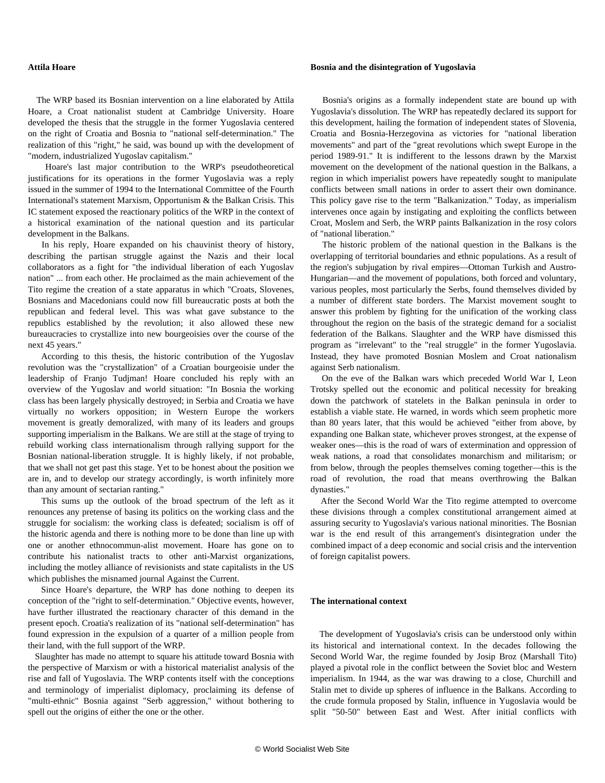#### **Attila Hoare**

#### **Bosnia and the disintegration of Yugoslavia**

 The WRP based its Bosnian intervention on a line elaborated by Attila Hoare, a Croat nationalist student at Cambridge University. Hoare developed the thesis that the struggle in the former Yugoslavia centered on the right of Croatia and Bosnia to "national self-determination." The realization of this "right," he said, was bound up with the development of "modern, industrialized Yugoslav capitalism."

 Hoare's last major contribution to the WRP's pseudotheoretical justifications for its operations in the former Yugoslavia was a reply issued in the summer of 1994 to the International Committee of the Fourth International's statement Marxism, Opportunism & the Balkan Crisis. This IC statement exposed the reactionary politics of the WRP in the context of a historical examination of the national question and its particular development in the Balkans.

 In his reply, Hoare expanded on his chauvinist theory of history, describing the partisan struggle against the Nazis and their local collaborators as a fight for "the individual liberation of each Yugoslav nation" ... from each other. He proclaimed as the main achievement of the Tito regime the creation of a state apparatus in which "Croats, Slovenes, Bosnians and Macedonians could now fill bureaucratic posts at both the republican and federal level. This was what gave substance to the republics established by the revolution; it also allowed these new bureaucracies to crystallize into new bourgeoisies over the course of the next 45 years."

 According to this thesis, the historic contribution of the Yugoslav revolution was the "crystallization" of a Croatian bourgeoisie under the leadership of Franjo Tudjman! Hoare concluded his reply with an overview of the Yugoslav and world situation: "In Bosnia the working class has been largely physically destroyed; in Serbia and Croatia we have virtually no workers opposition; in Western Europe the workers movement is greatly demoralized, with many of its leaders and groups supporting imperialism in the Balkans. We are still at the stage of trying to rebuild working class internationalism through rallying support for the Bosnian national-liberation struggle. It is highly likely, if not probable, that we shall not get past this stage. Yet to be honest about the position we are in, and to develop our strategy accordingly, is worth infinitely more than any amount of sectarian ranting."

 This sums up the outlook of the broad spectrum of the left as it renounces any pretense of basing its politics on the working class and the struggle for socialism: the working class is defeated; socialism is off of the historic agenda and there is nothing more to be done than line up with one or another ethnocommun-alist movement. Hoare has gone on to contribute his nationalist tracts to other anti-Marxist organizations, including the motley alliance of revisionists and state capitalists in the US which publishes the misnamed journal Against the Current.

 Since Hoare's departure, the WRP has done nothing to deepen its conception of the "right to self-determination." Objective events, however, have further illustrated the reactionary character of this demand in the present epoch. Croatia's realization of its "national self-determination" has found expression in the expulsion of a quarter of a million people from their land, with the full support of the WRP.

 Slaughter has made no attempt to square his attitude toward Bosnia with the perspective of Marxism or with a historical materialist analysis of the rise and fall of Yugoslavia. The WRP contents itself with the conceptions and terminology of imperialist diplomacy, proclaiming its defense of "multi-ethnic" Bosnia against "Serb aggression," without bothering to spell out the origins of either the one or the other.

 Bosnia's origins as a formally independent state are bound up with Yugoslavia's dissolution. The WRP has repeatedly declared its support for this development, hailing the formation of independent states of Slovenia, Croatia and Bosnia-Herzegovina as victories for "national liberation movements" and part of the "great revolutions which swept Europe in the period 1989-91." It is indifferent to the lessons drawn by the Marxist movement on the development of the national question in the Balkans, a region in which imperialist powers have repeatedly sought to manipulate conflicts between small nations in order to assert their own dominance. This policy gave rise to the term "Balkanization." Today, as imperialism intervenes once again by instigating and exploiting the conflicts between Croat, Moslem and Serb, the WRP paints Balkanization in the rosy colors of "national liberation."

 The historic problem of the national question in the Balkans is the overlapping of territorial boundaries and ethnic populations. As a result of the region's subjugation by rival empires—Ottoman Turkish and Austro-Hungarian—and the movement of populations, both forced and voluntary, various peoples, most particularly the Serbs, found themselves divided by a number of different state borders. The Marxist movement sought to answer this problem by fighting for the unification of the working class throughout the region on the basis of the strategic demand for a socialist federation of the Balkans. Slaughter and the WRP have dismissed this program as "irrelevant" to the "real struggle" in the former Yugoslavia. Instead, they have promoted Bosnian Moslem and Croat nationalism against Serb nationalism.

 On the eve of the Balkan wars which preceded World War I, Leon Trotsky spelled out the economic and political necessity for breaking down the patchwork of statelets in the Balkan peninsula in order to establish a viable state. He warned, in words which seem prophetic more than 80 years later, that this would be achieved "either from above, by expanding one Balkan state, whichever proves strongest, at the expense of weaker ones—this is the road of wars of extermination and oppression of weak nations, a road that consolidates monarchism and militarism; or from below, through the peoples themselves coming together—this is the road of revolution, the road that means overthrowing the Balkan dynasties."

 After the Second World War the Tito regime attempted to overcome these divisions through a complex constitutional arrangement aimed at assuring security to Yugoslavia's various national minorities. The Bosnian war is the end result of this arrangement's disintegration under the combined impact of a deep economic and social crisis and the intervention of foreign capitalist powers.

#### **The international context**

 The development of Yugoslavia's crisis can be understood only within its historical and international context. In the decades following the Second World War, the regime founded by Josip Broz (Marshall Tito) played a pivotal role in the conflict between the Soviet bloc and Western imperialism. In 1944, as the war was drawing to a close, Churchill and Stalin met to divide up spheres of influence in the Balkans. According to the crude formula proposed by Stalin, influence in Yugoslavia would be split "50-50" between East and West. After initial conflicts with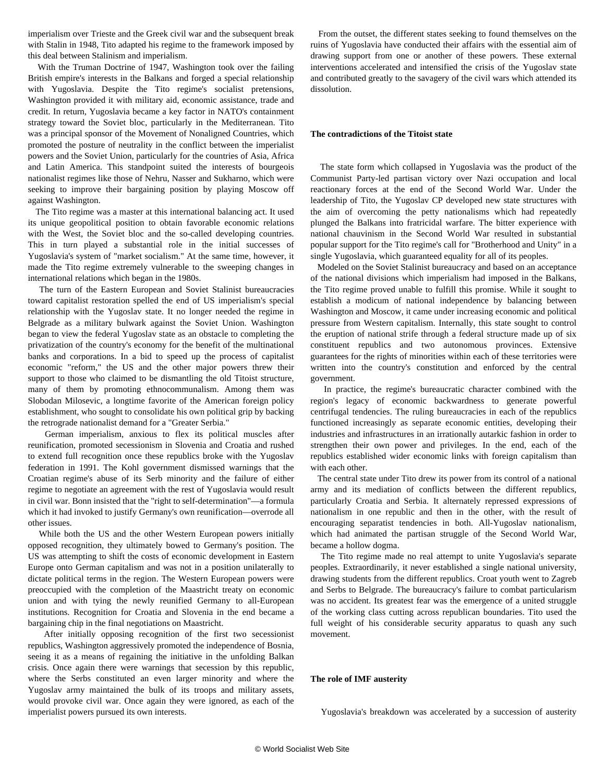imperialism over Trieste and the Greek civil war and the subsequent break with Stalin in 1948, Tito adapted his regime to the framework imposed by this deal between Stalinism and imperialism.

 With the Truman Doctrine of 1947, Washington took over the failing British empire's interests in the Balkans and forged a special relationship with Yugoslavia. Despite the Tito regime's socialist pretensions, Washington provided it with military aid, economic assistance, trade and credit. In return, Yugoslavia became a key factor in NATO's containment strategy toward the Soviet bloc, particularly in the Mediterranean. Tito was a principal sponsor of the Movement of Nonaligned Countries, which promoted the posture of neutrality in the conflict between the imperialist powers and the Soviet Union, particularly for the countries of Asia, Africa and Latin America. This standpoint suited the interests of bourgeois nationalist regimes like those of Nehru, Nasser and Sukharno, which were seeking to improve their bargaining position by playing Moscow off against Washington.

 The Tito regime was a master at this international balancing act. It used its unique geopolitical position to obtain favorable economic relations with the West, the Soviet bloc and the so-called developing countries. This in turn played a substantial role in the initial successes of Yugoslavia's system of "market socialism." At the same time, however, it made the Tito regime extremely vulnerable to the sweeping changes in international relations which began in the 1980s.

 The turn of the Eastern European and Soviet Stalinist bureaucracies toward capitalist restoration spelled the end of US imperialism's special relationship with the Yugoslav state. It no longer needed the regime in Belgrade as a military bulwark against the Soviet Union. Washington began to view the federal Yugoslav state as an obstacle to completing the privatization of the country's economy for the benefit of the multinational banks and corporations. In a bid to speed up the process of capitalist economic "reform," the US and the other major powers threw their support to those who claimed to be dismantling the old Titoist structure, many of them by promoting ethnocommunalism. Among them was Slobodan Milosevic, a longtime favorite of the American foreign policy establishment, who sought to consolidate his own political grip by backing the retrograde nationalist demand for a "Greater Serbia."

 German imperialism, anxious to flex its political muscles after reunification, promoted secessionism in Slovenia and Croatia and rushed to extend full recognition once these republics broke with the Yugoslav federation in 1991. The Kohl government dismissed warnings that the Croatian regime's abuse of its Serb minority and the failure of either regime to negotiate an agreement with the rest of Yugoslavia would result in civil war. Bonn insisted that the "right to self-determination"—a formula which it had invoked to justify Germany's own reunification—overrode all other issues.

 While both the US and the other Western European powers initially opposed recognition, they ultimately bowed to Germany's position. The US was attempting to shift the costs of economic development in Eastern Europe onto German capitalism and was not in a position unilaterally to dictate political terms in the region. The Western European powers were preoccupied with the completion of the Maastricht treaty on economic union and with tying the newly reunified Germany to all-European institutions. Recognition for Croatia and Slovenia in the end became a bargaining chip in the final negotiations on Maastricht.

 After initially opposing recognition of the first two secessionist republics, Washington aggressively promoted the independence of Bosnia, seeing it as a means of regaining the initiative in the unfolding Balkan crisis. Once again there were warnings that secession by this republic, where the Serbs constituted an even larger minority and where the Yugoslav army maintained the bulk of its troops and military assets, would provoke civil war. Once again they were ignored, as each of the imperialist powers pursued its own interests.

 From the outset, the different states seeking to found themselves on the ruins of Yugoslavia have conducted their affairs with the essential aim of drawing support from one or another of these powers. These external interventions accelerated and intensified the crisis of the Yugoslav state and contributed greatly to the savagery of the civil wars which attended its dissolution.

#### **The contradictions of the Titoist state**

 The state form which collapsed in Yugoslavia was the product of the Communist Party-led partisan victory over Nazi occupation and local reactionary forces at the end of the Second World War. Under the leadership of Tito, the Yugoslav CP developed new state structures with the aim of overcoming the petty nationalisms which had repeatedly plunged the Balkans into fratricidal warfare. The bitter experience with national chauvinism in the Second World War resulted in substantial popular support for the Tito regime's call for "Brotherhood and Unity" in a single Yugoslavia, which guaranteed equality for all of its peoples.

 Modeled on the Soviet Stalinist bureaucracy and based on an acceptance of the national divisions which imperialism had imposed in the Balkans, the Tito regime proved unable to fulfill this promise. While it sought to establish a modicum of national independence by balancing between Washington and Moscow, it came under increasing economic and political pressure from Western capitalism. Internally, this state sought to control the eruption of national strife through a federal structure made up of six constituent republics and two autonomous provinces. Extensive guarantees for the rights of minorities within each of these territories were written into the country's constitution and enforced by the central government.

 In practice, the regime's bureaucratic character combined with the region's legacy of economic backwardness to generate powerful centrifugal tendencies. The ruling bureaucracies in each of the republics functioned increasingly as separate economic entities, developing their industries and infrastructures in an irrationally autarkic fashion in order to strengthen their own power and privileges. In the end, each of the republics established wider economic links with foreign capitalism than with each other.

 The central state under Tito drew its power from its control of a national army and its mediation of conflicts between the different republics, particularly Croatia and Serbia. It alternately repressed expressions of nationalism in one republic and then in the other, with the result of encouraging separatist tendencies in both. All-Yugoslav nationalism, which had animated the partisan struggle of the Second World War, became a hollow dogma.

 The Tito regime made no real attempt to unite Yugoslavia's separate peoples. Extraordinarily, it never established a single national university, drawing students from the different republics. Croat youth went to Zagreb and Serbs to Belgrade. The bureaucracy's failure to combat particularism was no accident. Its greatest fear was the emergence of a united struggle of the working class cutting across republican boundaries. Tito used the full weight of his considerable security apparatus to quash any such movement.

#### **The role of IMF austerity**

Yugoslavia's breakdown was accelerated by a succession of austerity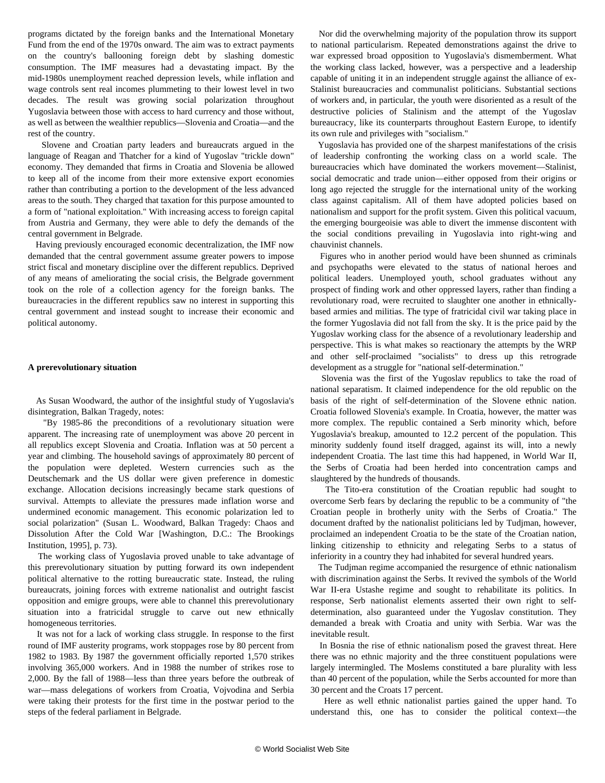programs dictated by the foreign banks and the International Monetary Fund from the end of the 1970s onward. The aim was to extract payments on the country's ballooning foreign debt by slashing domestic consumption. The IMF measures had a devastating impact. By the mid-1980s unemployment reached depression levels, while inflation and wage controls sent real incomes plummeting to their lowest level in two decades. The result was growing social polarization throughout Yugoslavia between those with access to hard currency and those without, as well as between the wealthier republics—Slovenia and Croatia—and the rest of the country.

 Slovene and Croatian party leaders and bureaucrats argued in the language of Reagan and Thatcher for a kind of Yugoslav "trickle down" economy. They demanded that firms in Croatia and Slovenia be allowed to keep all of the income from their more extensive export economies rather than contributing a portion to the development of the less advanced areas to the south. They charged that taxation for this purpose amounted to a form of "national exploitation." With increasing access to foreign capital from Austria and Germany, they were able to defy the demands of the central government in Belgrade.

 Having previously encouraged economic decentralization, the IMF now demanded that the central government assume greater powers to impose strict fiscal and monetary discipline over the different republics. Deprived of any means of ameliorating the social crisis, the Belgrade government took on the role of a collection agency for the foreign banks. The bureaucracies in the different republics saw no interest in supporting this central government and instead sought to increase their economic and political autonomy.

#### **A prerevolutionary situation**

 As Susan Woodward, the author of the insightful study of Yugoslavia's disintegration, Balkan Tragedy, notes:

 "By 1985-86 the preconditions of a revolutionary situation were apparent. The increasing rate of unemployment was above 20 percent in all republics except Slovenia and Croatia. Inflation was at 50 percent a year and climbing. The household savings of approximately 80 percent of the population were depleted. Western currencies such as the Deutschemark and the US dollar were given preference in domestic exchange. Allocation decisions increasingly became stark questions of survival. Attempts to alleviate the pressures made inflation worse and undermined economic management. This economic polarization led to social polarization" (Susan L. Woodward, Balkan Tragedy: Chaos and Dissolution After the Cold War [Washington, D.C.: The Brookings Institution, 1995], p. 73).

 The working class of Yugoslavia proved unable to take advantage of this prerevolutionary situation by putting forward its own independent political alternative to the rotting bureaucratic state. Instead, the ruling bureaucrats, joining forces with extreme nationalist and outright fascist opposition and emigre groups, were able to channel this prerevolutionary situation into a fratricidal struggle to carve out new ethnically homogeneous territories.

 It was not for a lack of working class struggle. In response to the first round of IMF austerity programs, work stoppages rose by 80 percent from 1982 to 1983. By 1987 the government officially reported 1,570 strikes involving 365,000 workers. And in 1988 the number of strikes rose to 2,000. By the fall of 1988—less than three years before the outbreak of war—mass delegations of workers from Croatia, Vojvodina and Serbia were taking their protests for the first time in the postwar period to the steps of the federal parliament in Belgrade.

 Nor did the overwhelming majority of the population throw its support to national particularism. Repeated demonstrations against the drive to war expressed broad opposition to Yugoslavia's dismemberment. What the working class lacked, however, was a perspective and a leadership capable of uniting it in an independent struggle against the alliance of ex-Stalinist bureaucracies and communalist politicians. Substantial sections of workers and, in particular, the youth were disoriented as a result of the destructive policies of Stalinism and the attempt of the Yugoslav bureaucracy, like its counterparts throughout Eastern Europe, to identify its own rule and privileges with "socialism."

 Yugoslavia has provided one of the sharpest manifestations of the crisis of leadership confronting the working class on a world scale. The bureaucracies which have dominated the workers movement—Stalinist, social democratic and trade union—either opposed from their origins or long ago rejected the struggle for the international unity of the working class against capitalism. All of them have adopted policies based on nationalism and support for the profit system. Given this political vacuum, the emerging bourgeoisie was able to divert the immense discontent with the social conditions prevailing in Yugoslavia into right-wing and chauvinist channels.

 Figures who in another period would have been shunned as criminals and psychopaths were elevated to the status of national heroes and political leaders. Unemployed youth, school graduates without any prospect of finding work and other oppressed layers, rather than finding a revolutionary road, were recruited to slaughter one another in ethnicallybased armies and militias. The type of fratricidal civil war taking place in the former Yugoslavia did not fall from the sky. It is the price paid by the Yugoslav working class for the absence of a revolutionary leadership and perspective. This is what makes so reactionary the attempts by the WRP and other self-proclaimed "socialists" to dress up this retrograde development as a struggle for "national self-determination."

 Slovenia was the first of the Yugoslav republics to take the road of national separatism. It claimed independence for the old republic on the basis of the right of self-determination of the Slovene ethnic nation. Croatia followed Slovenia's example. In Croatia, however, the matter was more complex. The republic contained a Serb minority which, before Yugoslavia's breakup, amounted to 12.2 percent of the population. This minority suddenly found itself dragged, against its will, into a newly independent Croatia. The last time this had happened, in World War II, the Serbs of Croatia had been herded into concentration camps and slaughtered by the hundreds of thousands.

 The Tito-era constitution of the Croatian republic had sought to overcome Serb fears by declaring the republic to be a community of "the Croatian people in brotherly unity with the Serbs of Croatia." The document drafted by the nationalist politicians led by Tudjman, however, proclaimed an independent Croatia to be the state of the Croatian nation, linking citizenship to ethnicity and relegating Serbs to a status of inferiority in a country they had inhabited for several hundred years.

 The Tudjman regime accompanied the resurgence of ethnic nationalism with discrimination against the Serbs. It revived the symbols of the World War II-era Ustashe regime and sought to rehabilitate its politics. In response, Serb nationalist elements asserted their own right to selfdetermination, also guaranteed under the Yugoslav constitution. They demanded a break with Croatia and unity with Serbia. War was the inevitable result.

 In Bosnia the rise of ethnic nationalism posed the gravest threat. Here there was no ethnic majority and the three constituent populations were largely intermingled. The Moslems constituted a bare plurality with less than 40 percent of the population, while the Serbs accounted for more than 30 percent and the Croats 17 percent.

 Here as well ethnic nationalist parties gained the upper hand. To understand this, one has to consider the political context—the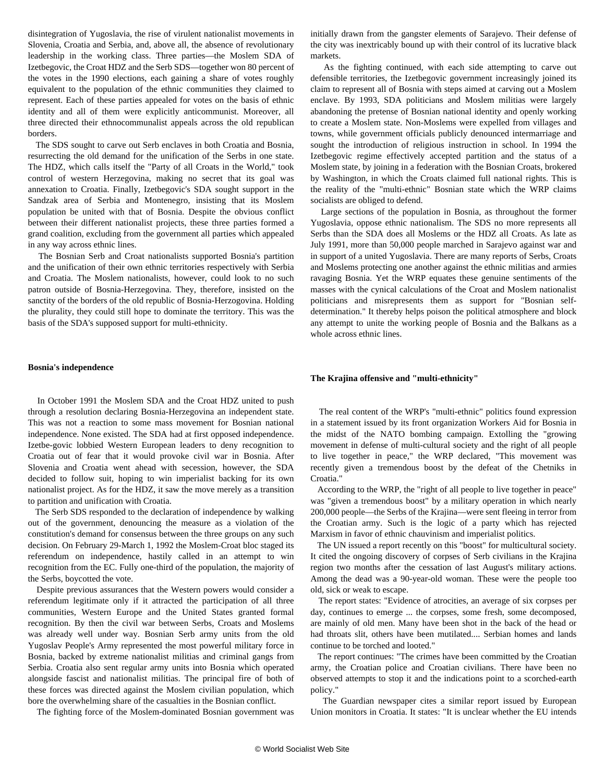disintegration of Yugoslavia, the rise of virulent nationalist movements in Slovenia, Croatia and Serbia, and, above all, the absence of revolutionary leadership in the working class. Three parties—the Moslem SDA of Izetbegovic, the Croat HDZ and the Serb SDS—together won 80 percent of the votes in the 1990 elections, each gaining a share of votes roughly equivalent to the population of the ethnic communities they claimed to represent. Each of these parties appealed for votes on the basis of ethnic identity and all of them were explicitly anticommunist. Moreover, all three directed their ethnocommunalist appeals across the old republican borders.

 The SDS sought to carve out Serb enclaves in both Croatia and Bosnia, resurrecting the old demand for the unification of the Serbs in one state. The HDZ, which calls itself the "Party of all Croats in the World," took control of western Herzegovina, making no secret that its goal was annexation to Croatia. Finally, Izetbegovic's SDA sought support in the Sandzak area of Serbia and Montenegro, insisting that its Moslem population be united with that of Bosnia. Despite the obvious conflict between their different nationalist projects, these three parties formed a grand coalition, excluding from the government all parties which appealed in any way across ethnic lines.

 The Bosnian Serb and Croat nationalists supported Bosnia's partition and the unification of their own ethnic territories respectively with Serbia and Croatia. The Moslem nationalists, however, could look to no such patron outside of Bosnia-Herzegovina. They, therefore, insisted on the sanctity of the borders of the old republic of Bosnia-Herzogovina. Holding the plurality, they could still hope to dominate the territory. This was the basis of the SDA's supposed support for multi-ethnicity.

#### **Bosnia's independence**

 In October 1991 the Moslem SDA and the Croat HDZ united to push through a resolution declaring Bosnia-Herzegovina an independent state. This was not a reaction to some mass movement for Bosnian national independence. None existed. The SDA had at first opposed independence. Izetbe-govic lobbied Western European leaders to deny recognition to Croatia out of fear that it would provoke civil war in Bosnia. After Slovenia and Croatia went ahead with secession, however, the SDA decided to follow suit, hoping to win imperialist backing for its own nationalist project. As for the HDZ, it saw the move merely as a transition to partition and unification with Croatia.

 The Serb SDS responded to the declaration of independence by walking out of the government, denouncing the measure as a violation of the constitution's demand for consensus between the three groups on any such decision. On February 29-March 1, 1992 the Moslem-Croat bloc staged its referendum on independence, hastily called in an attempt to win recognition from the EC. Fully one-third of the population, the majority of the Serbs, boycotted the vote.

 Despite previous assurances that the Western powers would consider a referendum legitimate only if it attracted the participation of all three communities, Western Europe and the United States granted formal recognition. By then the civil war between Serbs, Croats and Moslems was already well under way. Bosnian Serb army units from the old Yugoslav People's Army represented the most powerful military force in Bosnia, backed by extreme nationalist militias and criminal gangs from Serbia. Croatia also sent regular army units into Bosnia which operated alongside fascist and nationalist militias. The principal fire of both of these forces was directed against the Moslem civilian population, which bore the overwhelming share of the casualties in the Bosnian conflict.

The fighting force of the Moslem-dominated Bosnian government was

initially drawn from the gangster elements of Sarajevo. Their defense of the city was inextricably bound up with their control of its lucrative black markets.

 As the fighting continued, with each side attempting to carve out defensible territories, the Izetbegovic government increasingly joined its claim to represent all of Bosnia with steps aimed at carving out a Moslem enclave. By 1993, SDA politicians and Moslem militias were largely abandoning the pretense of Bosnian national identity and openly working to create a Moslem state. Non-Moslems were expelled from villages and towns, while government officials publicly denounced intermarriage and sought the introduction of religious instruction in school. In 1994 the Izetbegovic regime effectively accepted partition and the status of a Moslem state, by joining in a federation with the Bosnian Croats, brokered by Washington, in which the Croats claimed full national rights. This is the reality of the "multi-ethnic" Bosnian state which the WRP claims socialists are obliged to defend.

 Large sections of the population in Bosnia, as throughout the former Yugoslavia, oppose ethnic nationalism. The SDS no more represents all Serbs than the SDA does all Moslems or the HDZ all Croats. As late as July 1991, more than 50,000 people marched in Sarajevo against war and in support of a united Yugoslavia. There are many reports of Serbs, Croats and Moslems protecting one another against the ethnic militias and armies ravaging Bosnia. Yet the WRP equates these genuine sentiments of the masses with the cynical calculations of the Croat and Moslem nationalist politicians and misrepresents them as support for "Bosnian selfdetermination." It thereby helps poison the political atmosphere and block any attempt to unite the working people of Bosnia and the Balkans as a whole across ethnic lines.

#### **The Krajina offensive and "multi-ethnicity"**

 The real content of the WRP's "multi-ethnic" politics found expression in a statement issued by its front organization Workers Aid for Bosnia in the midst of the NATO bombing campaign. Extolling the "growing movement in defense of multi-cultural society and the right of all people to live together in peace," the WRP declared, "This movement was recently given a tremendous boost by the defeat of the Chetniks in Croatia."

 According to the WRP, the "right of all people to live together in peace" was "given a tremendous boost" by a military operation in which nearly 200,000 people—the Serbs of the Krajina—were sent fleeing in terror from the Croatian army. Such is the logic of a party which has rejected Marxism in favor of ethnic chauvinism and imperialist politics.

 The UN issued a report recently on this "boost" for multicultural society. It cited the ongoing discovery of corpses of Serb civilians in the Krajina region two months after the cessation of last August's military actions. Among the dead was a 90-year-old woman. These were the people too old, sick or weak to escape.

 The report states: "Evidence of atrocities, an average of six corpses per day, continues to emerge ... the corpses, some fresh, some decomposed, are mainly of old men. Many have been shot in the back of the head or had throats slit, others have been mutilated.... Serbian homes and lands continue to be torched and looted."

 The report continues: "The crimes have been committed by the Croatian army, the Croatian police and Croatian civilians. There have been no observed attempts to stop it and the indications point to a scorched-earth policy."

 The Guardian newspaper cites a similar report issued by European Union monitors in Croatia. It states: "It is unclear whether the EU intends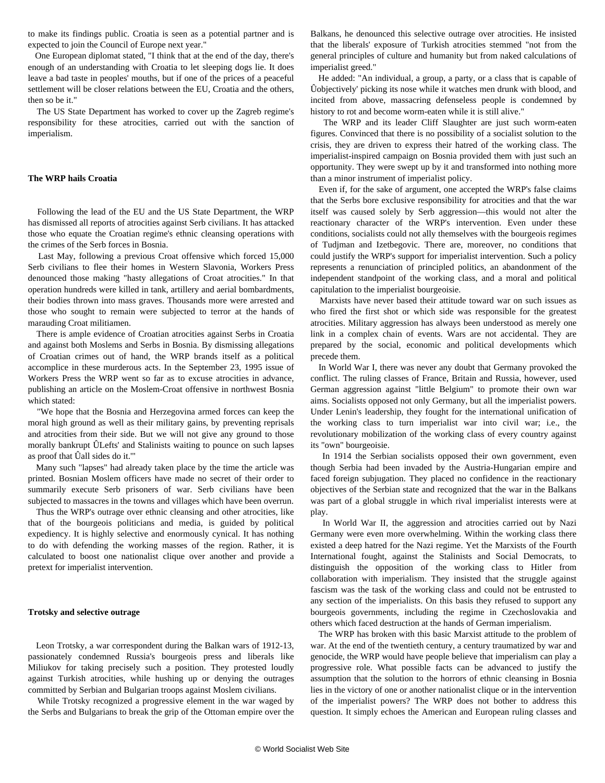to make its findings public. Croatia is seen as a potential partner and is expected to join the Council of Europe next year."

 One European diplomat stated, "I think that at the end of the day, there's enough of an understanding with Croatia to let sleeping dogs lie. It does leave a bad taste in peoples' mouths, but if one of the prices of a peaceful settlement will be closer relations between the EU, Croatia and the others, then so be it."

 The US State Department has worked to cover up the Zagreb regime's responsibility for these atrocities, carried out with the sanction of imperialism.

#### **The WRP hails Croatia**

 Following the lead of the EU and the US State Department, the WRP has dismissed all reports of atrocities against Serb civilians. It has attacked those who equate the Croatian regime's ethnic cleansing operations with the crimes of the Serb forces in Bosnia.

 Last May, following a previous Croat offensive which forced 15,000 Serb civilians to flee their homes in Western Slavonia, Workers Press denounced those making "hasty allegations of Croat atrocities." In that operation hundreds were killed in tank, artillery and aerial bombardments, their bodies thrown into mass graves. Thousands more were arrested and those who sought to remain were subjected to terror at the hands of marauding Croat militiamen.

 There is ample evidence of Croatian atrocities against Serbs in Croatia and against both Moslems and Serbs in Bosnia. By dismissing allegations of Croatian crimes out of hand, the WRP brands itself as a political accomplice in these murderous acts. In the September 23, 1995 issue of Workers Press the WRP went so far as to excuse atrocities in advance, publishing an article on the Moslem-Croat offensive in northwest Bosnia which stated:

 "We hope that the Bosnia and Herzegovina armed forces can keep the moral high ground as well as their military gains, by preventing reprisals and atrocities from their side. But we will not give any ground to those morally bankrupt ÛLefts' and Stalinists waiting to pounce on such lapses as proof that Ûall sides do it.'"

 Many such "lapses" had already taken place by the time the article was printed. Bosnian Moslem officers have made no secret of their order to summarily execute Serb prisoners of war. Serb civilians have been subjected to massacres in the towns and villages which have been overrun.

 Thus the WRP's outrage over ethnic cleansing and other atrocities, like that of the bourgeois politicians and media, is guided by political expediency. It is highly selective and enormously cynical. It has nothing to do with defending the working masses of the region. Rather, it is calculated to boost one nationalist clique over another and provide a pretext for imperialist intervention.

#### **Trotsky and selective outrage**

 Leon Trotsky, a war correspondent during the Balkan wars of 1912-13, passionately condemned Russia's bourgeois press and liberals like Miliukov for taking precisely such a position. They protested loudly against Turkish atrocities, while hushing up or denying the outrages committed by Serbian and Bulgarian troops against Moslem civilians.

 While Trotsky recognized a progressive element in the war waged by the Serbs and Bulgarians to break the grip of the Ottoman empire over the Balkans, he denounced this selective outrage over atrocities. He insisted that the liberals' exposure of Turkish atrocities stemmed "not from the general principles of culture and humanity but from naked calculations of imperialist greed."

 He added: "An individual, a group, a party, or a class that is capable of Ûobjectively' picking its nose while it watches men drunk with blood, and incited from above, massacring defenseless people is condemned by history to rot and become worm-eaten while it is still alive."

 The WRP and its leader Cliff Slaughter are just such worm-eaten figures. Convinced that there is no possibility of a socialist solution to the crisis, they are driven to express their hatred of the working class. The imperialist-inspired campaign on Bosnia provided them with just such an opportunity. They were swept up by it and transformed into nothing more than a minor instrument of imperialist policy.

 Even if, for the sake of argument, one accepted the WRP's false claims that the Serbs bore exclusive responsibility for atrocities and that the war itself was caused solely by Serb aggression—this would not alter the reactionary character of the WRP's intervention. Even under these conditions, socialists could not ally themselves with the bourgeois regimes of Tudjman and Izetbegovic. There are, moreover, no conditions that could justify the WRP's support for imperialist intervention. Such a policy represents a renunciation of principled politics, an abandonment of the independent standpoint of the working class, and a moral and political capitulation to the imperialist bourgeoisie.

 Marxists have never based their attitude toward war on such issues as who fired the first shot or which side was responsible for the greatest atrocities. Military aggression has always been understood as merely one link in a complex chain of events. Wars are not accidental. They are prepared by the social, economic and political developments which precede them.

 In World War I, there was never any doubt that Germany provoked the conflict. The ruling classes of France, Britain and Russia, however, used German aggression against "little Belgium" to promote their own war aims. Socialists opposed not only Germany, but all the imperialist powers. Under Lenin's leadership, they fought for the international unification of the working class to turn imperialist war into civil war; i.e., the revolutionary mobilization of the working class of every country against its "own" bourgeoisie.

 In 1914 the Serbian socialists opposed their own government, even though Serbia had been invaded by the Austria-Hungarian empire and faced foreign subjugation. They placed no confidence in the reactionary objectives of the Serbian state and recognized that the war in the Balkans was part of a global struggle in which rival imperialist interests were at play.

 In World War II, the aggression and atrocities carried out by Nazi Germany were even more overwhelming. Within the working class there existed a deep hatred for the Nazi regime. Yet the Marxists of the Fourth International fought, against the Stalinists and Social Democrats, to distinguish the opposition of the working class to Hitler from collaboration with imperialism. They insisted that the struggle against fascism was the task of the working class and could not be entrusted to any section of the imperialists. On this basis they refused to support any bourgeois governments, including the regime in Czechoslovakia and others which faced destruction at the hands of German imperialism.

 The WRP has broken with this basic Marxist attitude to the problem of war. At the end of the twentieth century, a century traumatized by war and genocide, the WRP would have people believe that imperialism can play a progressive role. What possible facts can be advanced to justify the assumption that the solution to the horrors of ethnic cleansing in Bosnia lies in the victory of one or another nationalist clique or in the intervention of the imperialist powers? The WRP does not bother to address this question. It simply echoes the American and European ruling classes and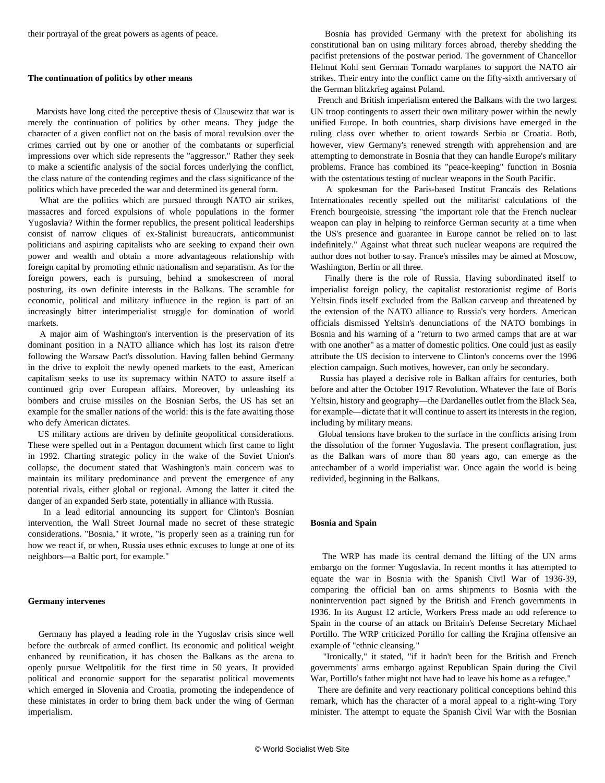#### **The continuation of politics by other means**

 Marxists have long cited the perceptive thesis of Clausewitz that war is merely the continuation of politics by other means. They judge the character of a given conflict not on the basis of moral revulsion over the crimes carried out by one or another of the combatants or superficial impressions over which side represents the "aggressor." Rather they seek to make a scientific analysis of the social forces underlying the conflict, the class nature of the contending regimes and the class significance of the politics which have preceded the war and determined its general form.

 What are the politics which are pursued through NATO air strikes, massacres and forced expulsions of whole populations in the former Yugoslavia? Within the former republics, the present political leaderships consist of narrow cliques of ex-Stalinist bureaucrats, anticommunist politicians and aspiring capitalists who are seeking to expand their own power and wealth and obtain a more advantageous relationship with foreign capital by promoting ethnic nationalism and separatism. As for the foreign powers, each is pursuing, behind a smokescreen of moral posturing, its own definite interests in the Balkans. The scramble for economic, political and military influence in the region is part of an increasingly bitter interimperialist struggle for domination of world markets.

 A major aim of Washington's intervention is the preservation of its dominant position in a NATO alliance which has lost its raison d'etre following the Warsaw Pact's dissolution. Having fallen behind Germany in the drive to exploit the newly opened markets to the east, American capitalism seeks to use its supremacy within NATO to assure itself a continued grip over European affairs. Moreover, by unleashing its bombers and cruise missiles on the Bosnian Serbs, the US has set an example for the smaller nations of the world: this is the fate awaiting those who defy American dictates.

 US military actions are driven by definite geopolitical considerations. These were spelled out in a Pentagon document which first came to light in 1992. Charting strategic policy in the wake of the Soviet Union's collapse, the document stated that Washington's main concern was to maintain its military predominance and prevent the emergence of any potential rivals, either global or regional. Among the latter it cited the danger of an expanded Serb state, potentially in alliance with Russia.

 In a lead editorial announcing its support for Clinton's Bosnian intervention, the Wall Street Journal made no secret of these strategic considerations. "Bosnia," it wrote, "is properly seen as a training run for how we react if, or when, Russia uses ethnic excuses to lunge at one of its neighbors—a Baltic port, for example."

#### **Germany intervenes**

 Germany has played a leading role in the Yugoslav crisis since well before the outbreak of armed conflict. Its economic and political weight enhanced by reunification, it has chosen the Balkans as the arena to openly pursue Weltpolitik for the first time in 50 years. It provided political and economic support for the separatist political movements which emerged in Slovenia and Croatia, promoting the independence of these ministates in order to bring them back under the wing of German imperialism.

 Bosnia has provided Germany with the pretext for abolishing its constitutional ban on using military forces abroad, thereby shedding the pacifist pretensions of the postwar period. The government of Chancellor Helmut Kohl sent German Tornado warplanes to support the NATO air strikes. Their entry into the conflict came on the fifty-sixth anniversary of the German blitzkrieg against Poland.

 French and British imperialism entered the Balkans with the two largest UN troop contingents to assert their own military power within the newly unified Europe. In both countries, sharp divisions have emerged in the ruling class over whether to orient towards Serbia or Croatia. Both, however, view Germany's renewed strength with apprehension and are attempting to demonstrate in Bosnia that they can handle Europe's military problems. France has combined its "peace-keeping" function in Bosnia with the ostentatious testing of nuclear weapons in the South Pacific.

 A spokesman for the Paris-based Institut Francais des Relations Internationales recently spelled out the militarist calculations of the French bourgeoisie, stressing "the important role that the French nuclear weapon can play in helping to reinforce German security at a time when the US's presence and guarantee in Europe cannot be relied on to last indefinitely." Against what threat such nuclear weapons are required the author does not bother to say. France's missiles may be aimed at Moscow, Washington, Berlin or all three.

 Finally there is the role of Russia. Having subordinated itself to imperialist foreign policy, the capitalist restorationist regime of Boris Yeltsin finds itself excluded from the Balkan carveup and threatened by the extension of the NATO alliance to Russia's very borders. American officials dismissed Yeltsin's denunciations of the NATO bombings in Bosnia and his warning of a "return to two armed camps that are at war with one another" as a matter of domestic politics. One could just as easily attribute the US decision to intervene to Clinton's concerns over the 1996 election campaign. Such motives, however, can only be secondary.

 Russia has played a decisive role in Balkan affairs for centuries, both before and after the October 1917 Revolution. Whatever the fate of Boris Yeltsin, history and geography—the Dardanelles outlet from the Black Sea, for example—dictate that it will continue to assert its interests in the region, including by military means.

 Global tensions have broken to the surface in the conflicts arising from the dissolution of the former Yugoslavia. The present conflagration, just as the Balkan wars of more than 80 years ago, can emerge as the antechamber of a world imperialist war. Once again the world is being redivided, beginning in the Balkans.

#### **Bosnia and Spain**

 The WRP has made its central demand the lifting of the UN arms embargo on the former Yugoslavia. In recent months it has attempted to equate the war in Bosnia with the Spanish Civil War of 1936-39, comparing the official ban on arms shipments to Bosnia with the nonintervention pact signed by the British and French governments in 1936. In its August 12 article, Workers Press made an odd reference to Spain in the course of an attack on Britain's Defense Secretary Michael Portillo. The WRP criticized Portillo for calling the Krajina offensive an example of "ethnic cleansing."

 "Ironically," it stated, "if it hadn't been for the British and French governments' arms embargo against Republican Spain during the Civil War, Portillo's father might not have had to leave his home as a refugee."

 There are definite and very reactionary political conceptions behind this remark, which has the character of a moral appeal to a right-wing Tory minister. The attempt to equate the Spanish Civil War with the Bosnian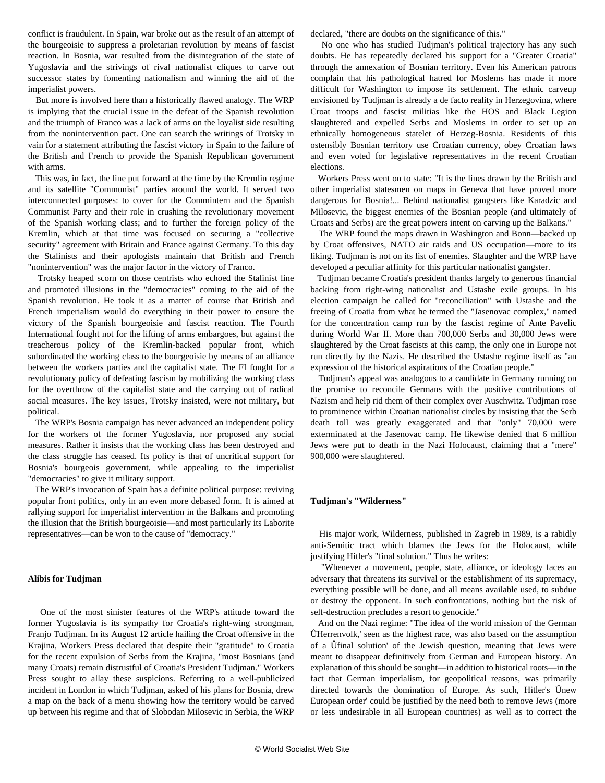conflict is fraudulent. In Spain, war broke out as the result of an attempt of the bourgeoisie to suppress a proletarian revolution by means of fascist reaction. In Bosnia, war resulted from the disintegration of the state of Yugoslavia and the strivings of rival nationalist cliques to carve out successor states by fomenting nationalism and winning the aid of the imperialist powers.

 But more is involved here than a historically flawed analogy. The WRP is implying that the crucial issue in the defeat of the Spanish revolution and the triumph of Franco was a lack of arms on the loyalist side resulting from the nonintervention pact. One can search the writings of Trotsky in vain for a statement attributing the fascist victory in Spain to the failure of the British and French to provide the Spanish Republican government with arms.

 This was, in fact, the line put forward at the time by the Kremlin regime and its satellite "Communist" parties around the world. It served two interconnected purposes: to cover for the Commintern and the Spanish Communist Party and their role in crushing the revolutionary movement of the Spanish working class; and to further the foreign policy of the Kremlin, which at that time was focused on securing a "collective security" agreement with Britain and France against Germany. To this day the Stalinists and their apologists maintain that British and French "nonintervention" was the major factor in the victory of Franco.

 Trotsky heaped scorn on those centrists who echoed the Stalinist line and promoted illusions in the "democracies" coming to the aid of the Spanish revolution. He took it as a matter of course that British and French imperialism would do everything in their power to ensure the victory of the Spanish bourgeoisie and fascist reaction. The Fourth International fought not for the lifting of arms embargoes, but against the treacherous policy of the Kremlin-backed popular front, which subordinated the working class to the bourgeoisie by means of an alliance between the workers parties and the capitalist state. The FI fought for a revolutionary policy of defeating fascism by mobilizing the working class for the overthrow of the capitalist state and the carrying out of radical social measures. The key issues, Trotsky insisted, were not military, but political.

 The WRP's Bosnia campaign has never advanced an independent policy for the workers of the former Yugoslavia, nor proposed any social measures. Rather it insists that the working class has been destroyed and the class struggle has ceased. Its policy is that of uncritical support for Bosnia's bourgeois government, while appealing to the imperialist "democracies" to give it military support.

 The WRP's invocation of Spain has a definite political purpose: reviving popular front politics, only in an even more debased form. It is aimed at rallying support for imperialist intervention in the Balkans and promoting the illusion that the British bourgeoisie—and most particularly its Laborite representatives—can be won to the cause of "democracy."

#### **Alibis for Tudjman**

 One of the most sinister features of the WRP's attitude toward the former Yugoslavia is its sympathy for Croatia's right-wing strongman, Franjo Tudjman. In its August 12 article hailing the Croat offensive in the Krajina, Workers Press declared that despite their "gratitude" to Croatia for the recent expulsion of Serbs from the Krajina, "most Bosnians (and many Croats) remain distrustful of Croatia's President Tudjman." Workers Press sought to allay these suspicions. Referring to a well-publicized incident in London in which Tudjman, asked of his plans for Bosnia, drew a map on the back of a menu showing how the territory would be carved up between his regime and that of Slobodan Milosevic in Serbia, the WRP

declared, "there are doubts on the significance of this."

 No one who has studied Tudjman's political trajectory has any such doubts. He has repeatedly declared his support for a "Greater Croatia" through the annexation of Bosnian territory. Even his American patrons complain that his pathological hatred for Moslems has made it more difficult for Washington to impose its settlement. The ethnic carveup envisioned by Tudjman is already a de facto reality in Herzegovina, where Croat troops and fascist militias like the HOS and Black Legion slaughtered and expelled Serbs and Moslems in order to set up an ethnically homogeneous statelet of Herzeg-Bosnia. Residents of this ostensibly Bosnian territory use Croatian currency, obey Croatian laws and even voted for legislative representatives in the recent Croatian elections.

 Workers Press went on to state: "It is the lines drawn by the British and other imperialist statesmen on maps in Geneva that have proved more dangerous for Bosnia!... Behind nationalist gangsters like Karadzic and Milosevic, the biggest enemies of the Bosnian people (and ultimately of Croats and Serbs) are the great powers intent on carving up the Balkans."

 The WRP found the maps drawn in Washington and Bonn—backed up by Croat offensives, NATO air raids and US occupation—more to its liking. Tudjman is not on its list of enemies. Slaughter and the WRP have developed a peculiar affinity for this particular nationalist gangster.

 Tudjman became Croatia's president thanks largely to generous financial backing from right-wing nationalist and Ustashe exile groups. In his election campaign he called for "reconciliation" with Ustashe and the freeing of Croatia from what he termed the "Jasenovac complex," named for the concentration camp run by the fascist regime of Ante Pavelic during World War II. More than 700,000 Serbs and 30,000 Jews were slaughtered by the Croat fascists at this camp, the only one in Europe not run directly by the Nazis. He described the Ustashe regime itself as "an expression of the historical aspirations of the Croatian people."

 Tudjman's appeal was analogous to a candidate in Germany running on the promise to reconcile Germans with the positive contributions of Nazism and help rid them of their complex over Auschwitz. Tudjman rose to prominence within Croatian nationalist circles by insisting that the Serb death toll was greatly exaggerated and that "only" 70,000 were exterminated at the Jasenovac camp. He likewise denied that 6 million Jews were put to death in the Nazi Holocaust, claiming that a "mere" 900,000 were slaughtered.

#### **Tudjman's "Wilderness"**

 His major work, Wilderness, published in Zagreb in 1989, is a rabidly anti-Semitic tract which blames the Jews for the Holocaust, while justifying Hitler's "final solution." Thus he writes:

 "Whenever a movement, people, state, alliance, or ideology faces an adversary that threatens its survival or the establishment of its supremacy, everything possible will be done, and all means available used, to subdue or destroy the opponent. In such confrontations, nothing but the risk of self-destruction precludes a resort to genocide."

 And on the Nazi regime: "The idea of the world mission of the German ÛHerrenvolk,' seen as the highest race, was also based on the assumption of a Ûfinal solution' of the Jewish question, meaning that Jews were meant to disappear definitively from German and European history. An explanation of this should be sought—in addition to historical roots—in the fact that German imperialism, for geopolitical reasons, was primarily directed towards the domination of Europe. As such, Hitler's Ûnew European order' could be justified by the need both to remove Jews (more or less undesirable in all European countries) as well as to correct the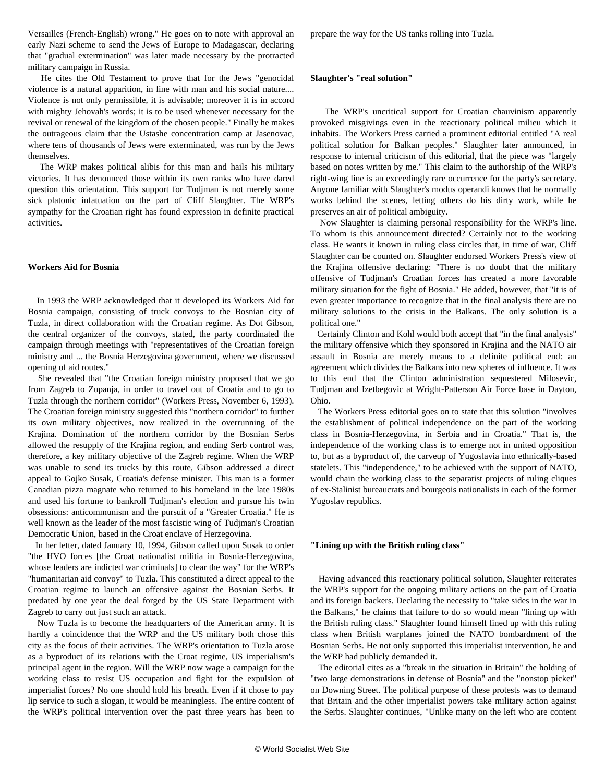Versailles (French-English) wrong." He goes on to note with approval an early Nazi scheme to send the Jews of Europe to Madagascar, declaring that "gradual extermination" was later made necessary by the protracted military campaign in Russia.

 He cites the Old Testament to prove that for the Jews "genocidal violence is a natural apparition, in line with man and his social nature.... Violence is not only permissible, it is advisable; moreover it is in accord with mighty Jehovah's words; it is to be used whenever necessary for the revival or renewal of the kingdom of the chosen people." Finally he makes the outrageous claim that the Ustashe concentration camp at Jasenovac, where tens of thousands of Jews were exterminated, was run by the Jews themselves.

 The WRP makes political alibis for this man and hails his military victories. It has denounced those within its own ranks who have dared question this orientation. This support for Tudjman is not merely some sick platonic infatuation on the part of Cliff Slaughter. The WRP's sympathy for the Croatian right has found expression in definite practical activities.

#### **Workers Aid for Bosnia**

 In 1993 the WRP acknowledged that it developed its Workers Aid for Bosnia campaign, consisting of truck convoys to the Bosnian city of Tuzla, in direct collaboration with the Croatian regime. As Dot Gibson, the central organizer of the convoys, stated, the party coordinated the campaign through meetings with "representatives of the Croatian foreign ministry and ... the Bosnia Herzegovina government, where we discussed opening of aid routes."

 She revealed that "the Croatian foreign ministry proposed that we go from Zagreb to Zupanja, in order to travel out of Croatia and to go to Tuzla through the northern corridor" (Workers Press, November 6, 1993). The Croatian foreign ministry suggested this "northern corridor" to further its own military objectives, now realized in the overrunning of the Krajina. Domination of the northern corridor by the Bosnian Serbs allowed the resupply of the Krajina region, and ending Serb control was, therefore, a key military objective of the Zagreb regime. When the WRP was unable to send its trucks by this route, Gibson addressed a direct appeal to Gojko Susak, Croatia's defense minister. This man is a former Canadian pizza magnate who returned to his homeland in the late 1980s and used his fortune to bankroll Tudjman's election and pursue his twin obsessions: anticommunism and the pursuit of a "Greater Croatia." He is well known as the leader of the most fascistic wing of Tudjman's Croatian Democratic Union, based in the Croat enclave of Herzegovina.

 In her letter, dated January 10, 1994, Gibson called upon Susak to order "the HVO forces [the Croat nationalist militia in Bosnia-Herzegovina, whose leaders are indicted war criminals] to clear the way" for the WRP's "humanitarian aid convoy" to Tuzla. This constituted a direct appeal to the Croatian regime to launch an offensive against the Bosnian Serbs. It predated by one year the deal forged by the US State Department with Zagreb to carry out just such an attack.

 Now Tuzla is to become the headquarters of the American army. It is hardly a coincidence that the WRP and the US military both chose this city as the focus of their activities. The WRP's orientation to Tuzla arose as a byproduct of its relations with the Croat regime, US imperialism's principal agent in the region. Will the WRP now wage a campaign for the working class to resist US occupation and fight for the expulsion of imperialist forces? No one should hold his breath. Even if it chose to pay lip service to such a slogan, it would be meaningless. The entire content of the WRP's political intervention over the past three years has been to

prepare the way for the US tanks rolling into Tuzla.

#### **Slaughter's "real solution"**

 The WRP's uncritical support for Croatian chauvinism apparently provoked misgivings even in the reactionary political milieu which it inhabits. The Workers Press carried a prominent editorial entitled "A real political solution for Balkan peoples." Slaughter later announced, in response to internal criticism of this editorial, that the piece was "largely based on notes written by me." This claim to the authorship of the WRP's right-wing line is an exceedingly rare occurrence for the party's secretary. Anyone familiar with Slaughter's modus operandi knows that he normally works behind the scenes, letting others do his dirty work, while he preserves an air of political ambiguity.

 Now Slaughter is claiming personal responsibility for the WRP's line. To whom is this announcement directed? Certainly not to the working class. He wants it known in ruling class circles that, in time of war, Cliff Slaughter can be counted on. Slaughter endorsed Workers Press's view of the Krajina offensive declaring: "There is no doubt that the military offensive of Tudjman's Croatian forces has created a more favorable military situation for the fight of Bosnia." He added, however, that "it is of even greater importance to recognize that in the final analysis there are no military solutions to the crisis in the Balkans. The only solution is a political one."

 Certainly Clinton and Kohl would both accept that "in the final analysis" the military offensive which they sponsored in Krajina and the NATO air assault in Bosnia are merely means to a definite political end: an agreement which divides the Balkans into new spheres of influence. It was to this end that the Clinton administration sequestered Milosevic, Tudjman and Izetbegovic at Wright-Patterson Air Force base in Dayton, Ohio.

 The Workers Press editorial goes on to state that this solution "involves the establishment of political independence on the part of the working class in Bosnia-Herzegovina, in Serbia and in Croatia." That is, the independence of the working class is to emerge not in united opposition to, but as a byproduct of, the carveup of Yugoslavia into ethnically-based statelets. This "independence," to be achieved with the support of NATO, would chain the working class to the separatist projects of ruling cliques of ex-Stalinist bureaucrats and bourgeois nationalists in each of the former Yugoslav republics.

#### **"Lining up with the British ruling class"**

 Having advanced this reactionary political solution, Slaughter reiterates the WRP's support for the ongoing military actions on the part of Croatia and its foreign backers. Declaring the necessity to "take sides in the war in the Balkans," he claims that failure to do so would mean "lining up with the British ruling class." Slaughter found himself lined up with this ruling class when British warplanes joined the NATO bombardment of the Bosnian Serbs. He not only supported this imperialist intervention, he and the WRP had publicly demanded it.

 The editorial cites as a "break in the situation in Britain" the holding of "two large demonstrations in defense of Bosnia" and the "nonstop picket" on Downing Street. The political purpose of these protests was to demand that Britain and the other imperialist powers take military action against the Serbs. Slaughter continues, "Unlike many on the left who are content